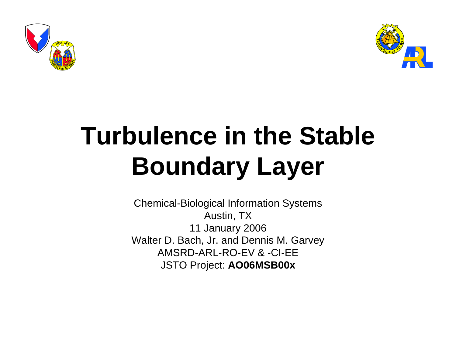



# **Turbulence in the Stable Boundary Layer**

Chemical-Biological Information Systems Austin, TX 11 January 2006 Walter D. Bach, Jr. and Dennis M. Garvey AMSRD-ARL-RO-EV & -CI-EEJSTO Project: **AO06MSB00x**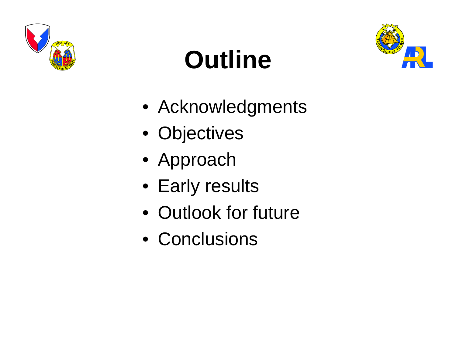

# **Outline**



- Acknowledgments
- Objectives
- Approach
- Early results
- Outlook for future
- Conclusions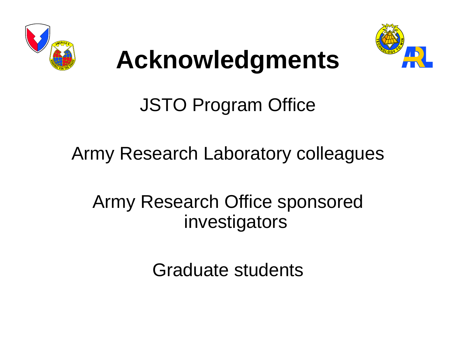



# **Acknowledgments**

JSTO Program Office

Army Research Laboratory colleagues

Army Research Office sponsored investigators

Graduate students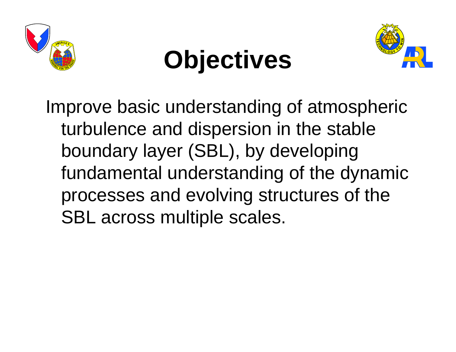

## **Objectives**



Improve basic understanding of atmospheric turbulence and dispersion in the stable boundary layer (SBL), by developing fundamental understanding of the dynamic processes and evolving structures of the SBL across multiple scales.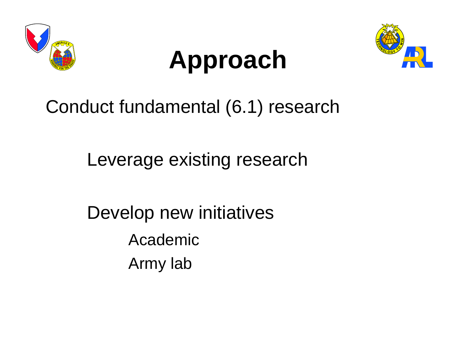

## **Approach**



Conduct fundamental (6.1) research

Leverage existing research

Develop new initiatives AcademicArmy lab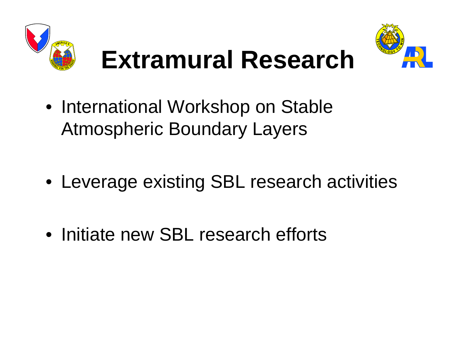



# **Extramural Research**

• International Workshop on Stable Atmospheric Boundary Layers

- Leverage existing SBL research activities
- Initiate new SBL research efforts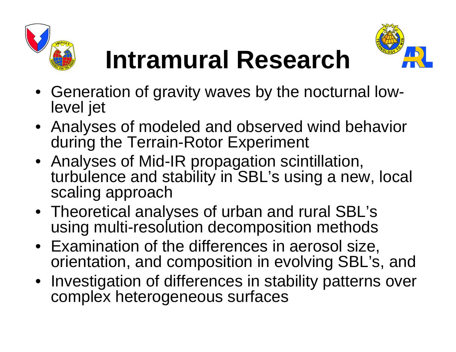



# **Intramural Research**

- Generation of gravity waves by the nocturnal lowlevel jet
- Analyses of modeled and observed wind behavior during the Terrain-Rotor Experiment
- Analyses of Mid-IR propagation scintillation, turbulence and stability in SBL's using a new, local scaling approach
- Theoretical analyses of urban and rural SBL's using multi-resolution decomposition methods
- Examination of the differences in aerosol size, orientation, and composition in evolving SBL's, and
- Investigation of differences in stability patterns over complex heterogeneous surfaces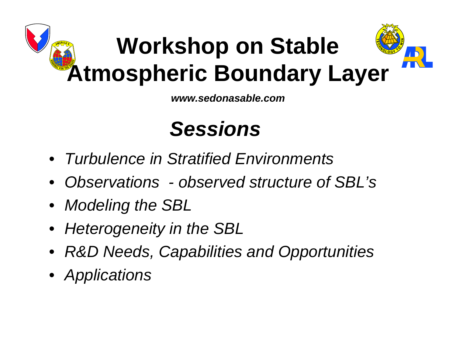# **Workshop on Stable Atmospheric Boundary Layer**

*www.sedonasable.com*

#### *Sessions*

- *Turbulence in Stratified Environments*
- *Observations observed structure of SBL's*
- *Modeling the SBL*
- *Heterogeneity in the SBL*
- *R&D Needs, Capabilities and Opportunities*
- *Applications*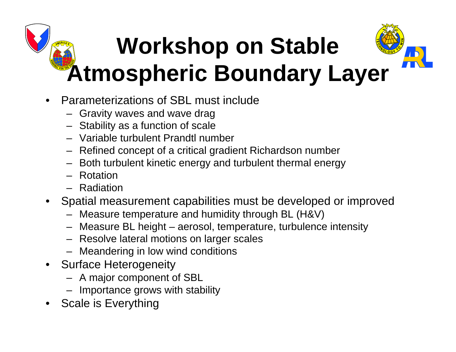# **Workshop on Stable Atmospheric Boundary Layer**

- Parameterizations of SBL must include
	- Gravity waves and wave drag
	- Stability as a function of scale
	- Variable turbulent Prandtl number
	- Refined concept of a critical gradient Richardson number
	- Both turbulent kinetic energy and turbulent thermal energy
	- Rotation
	- Radiation
- Spatial measurement capabilities must be developed or improved
	- Measure temperature and humidity through BL (H&V)
	- Measure BL height aerosol, temperature, turbulence intensity
	- Resolve lateral motions on larger scales
	- Meandering in low wind conditions
- Surface Heterogeneity
	- A major component of SBL
	- Importance grows with stability
- Scale is Everything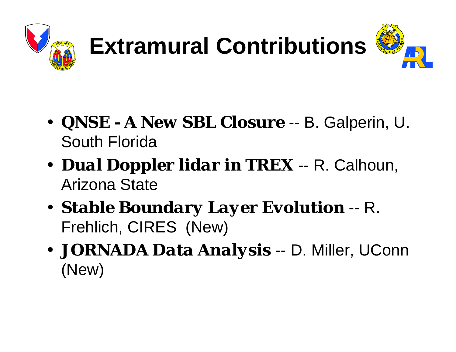

# **Extramural Contributions**



- *QNSE A New SBL Closure* -- B. Galperin, U. South Florida
- *Dual Doppler lidar in TREX* -- R. Calhoun, Arizona State
- *Stable Boundary Layer Evolution* -- R. Frehlich, CIRES (New)
- *JORNADA Data Analysis* -- D. Miller, UConn (New)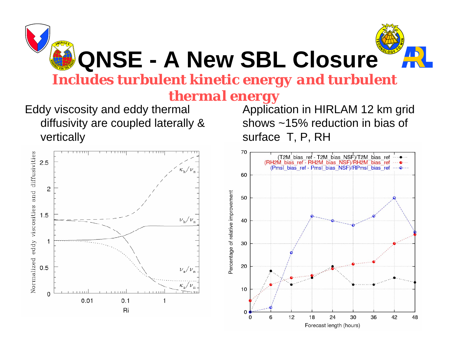

## **QNSE - A New SBL Closure**

*Includes turbulent kinetic energy and turbulent* 

#### *thermal energy*

Eddy viscosity and eddy thermal diffusivity are coupled laterally & vertically



Application in HIRLAM 12 km grid shows ~15% reduction in bias of surface T, P, RH

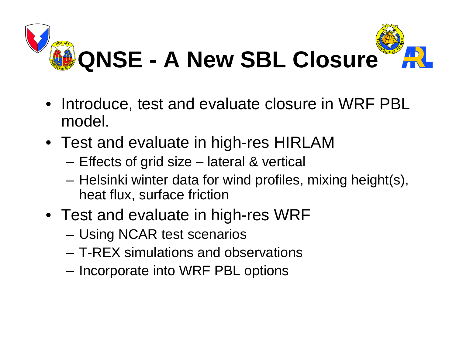

- Introduce, test and evaluate closure in WRF PBL model.
- Test and evaluate in high-res HIRLAM
	- Effects of grid size lateral & vertical
	- Helsinki winter data for wind profiles, mixing height(s), heat flux, surface friction
- Test and evaluate in high-res WRF
	- Using NCAR test scenarios
	- T-REX simulations and observations
	- Incorporate into WRF PBL options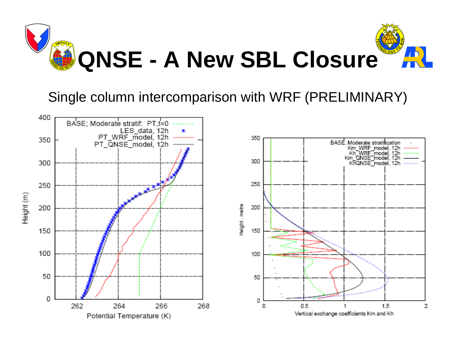

#### Single column intercomparison with WRF (PRELIMINARY)

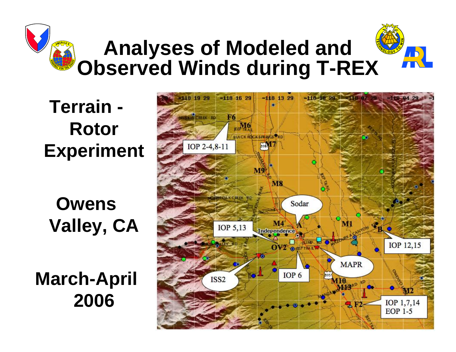#### **Terrain - Rotor Experiment**

**Owens Valley, CA** 

**March-April 2006**

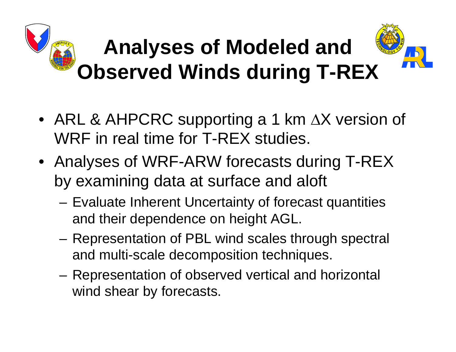- ARL & AHPCRC supporting a 1 km  $\Delta X$  version of WRF in real time for T-REX studies.
- Analyses of WRF-ARW forecasts during T-REX by examining data at surface and aloft
	- Evaluate Inherent Uncertainty of forecast quantities and their dependence on height AGL.
	- Representation of PBL wind scales through spectral and multi-scale decomposition techniques.
	- Representation of observed vertical and horizontal wind shear by forecasts.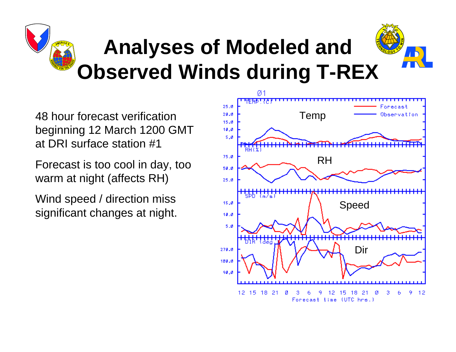48 hour forecast verification beginning 12 March 1200 GMT at DRI surface station #1

Forecast is too cool in day, too warm at night (affects RH)

Wind speed / direction miss significant changes at night.

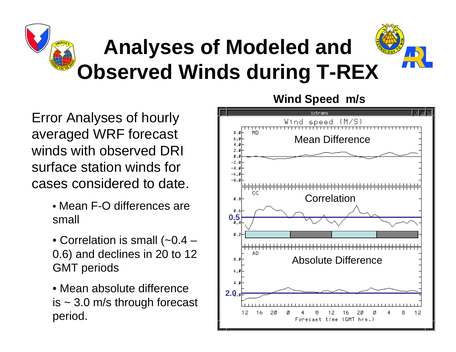Error Analyses of hourly averaged WRF forecast winds with observed DRI surface station winds for cases considered to date.

- Mean F-O differences are small
- Correlation is small (~0.4 0.6) and declines in 20 to 12 GMT periods
- Mean absolute difference is  $\sim$  3.0 m/s through forecast period.

#### **Wind Speed m/s**

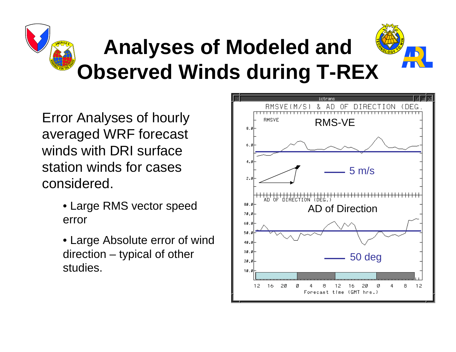Error Analyses of hourly averaged WRF forecast winds with DRI surface station winds for cases considered.

- Large RMS vector speed error
- Large Absolute error of wind direction – typical of other studies.

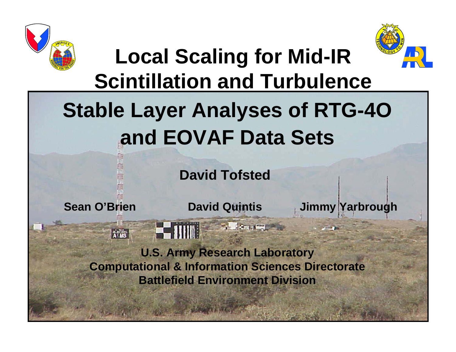



### **Local Scaling for Mid-IR Scintillation and Turbulence**

### **Stable Layer Analyses of RTG-4O and EOVAF Data Sets**

**David Tofsted**

ATTS

**STATISTICS** 

Sean O'Brien **David Quintis** Jimmy Yarbrough

**U.S. Army Research Laboratory Computational & Information Sciences Directorate Battlefield Environment Division**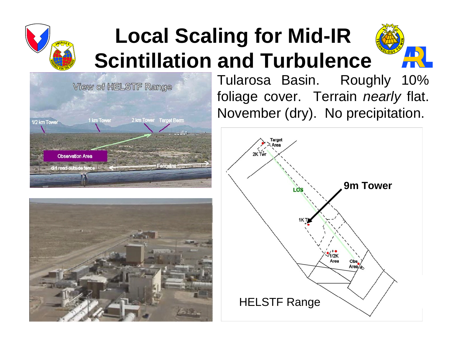

### **Local Scaling for Mid-IR Scintillation and Turbulence**







Tularosa Basin. Roughly 10% foliage cover. Terrain *nearly* flat. November (dry). No precipitation.

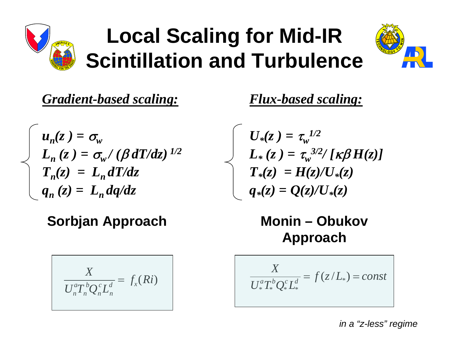

### **Local Scaling for Mid-IR Scintillation and Turbulence**



*Gradient-based scaling:*

 $u_n(z) = \sigma_{w_n}$  $L_{n}\left(z\right)=\sigma_{\!{w}}^{\phantom{\dagger}}/\left(\beta\,dT/dz\right)^{\vphantom{d}}$  $T_n(z) = L_n dT/dz$  $q_n(z) = L_n dq/dz$ 

#### **Sorbjan Approach Monin – Obukov**

$$
\frac{X}{U_n^a T_n^b Q_n^c L_n^d} = f_x(Ri)
$$

*Flux-based scaling:*

$$
U_*(z) = \tau_w^{1/2}
$$
  
\n
$$
L_*(z) = \tau_w^{3/2} / [\kappa \beta H(z)]
$$
  
\n
$$
T_*(z) = H(z) / U_*(z)
$$
  
\n
$$
q_*(z) = Q(z) / U_*(z)
$$

# **Approach**

*X*  $U^a_*T^b_*\mathcal{Q}^c_*L^d_*$  $f(z/L_*) = const$ 

*in a "z-less" regime*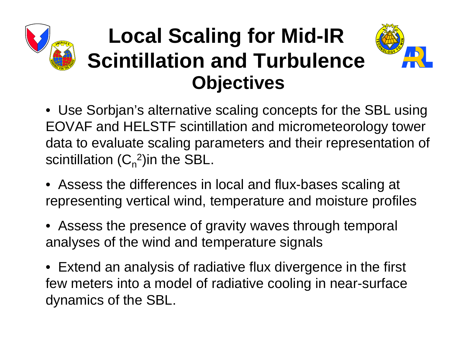### **Objectives Local Scaling for Mid-IR Scintillation and Turbulence**



- Use Sorbjan's alternative scaling concepts for the SBL using EOVAF and HELSTF scintillation and micrometeorology tower data to evaluate scaling parameters and their representation of scintillation  $(C_n^2)$ in the SBL.
- Assess the differences in local and flux-bases scaling at representing vertical wind, temperature and moisture profiles
- Assess the presence of gravity waves through temporal analyses of the wind and temperature signals
- Extend an analysis of radiative flux divergence in the first few meters into a model of radiative cooling in near-surface dynamics of the SBL.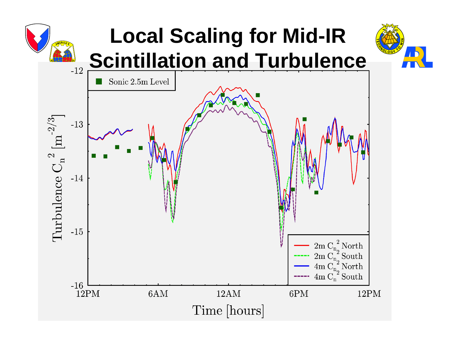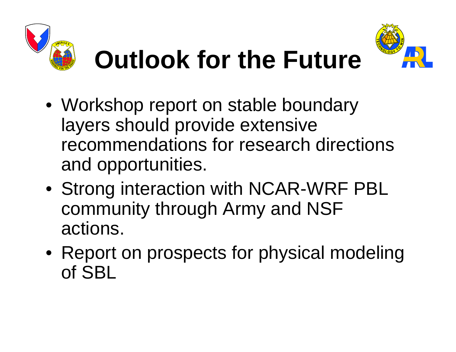





- Workshop report on stable boundary layers should provide extensive recommendations for research directions and opportunities.
- Strong interaction with NCAR-WRF PBL community through Army and NSF actions.
- Report on prospects for physical modeling of SBL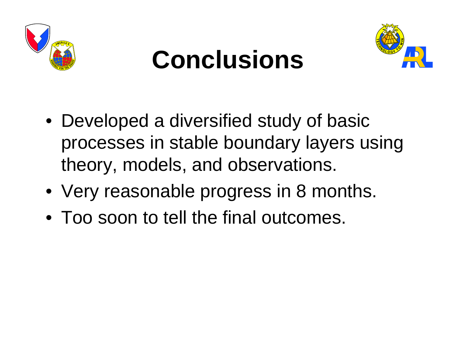

# **Conclusions**



- Developed a diversified study of basic processes in stable boundary layers using theory, models, and observations.
- Very reasonable progress in 8 months.
- Too soon to tell the final outcomes.